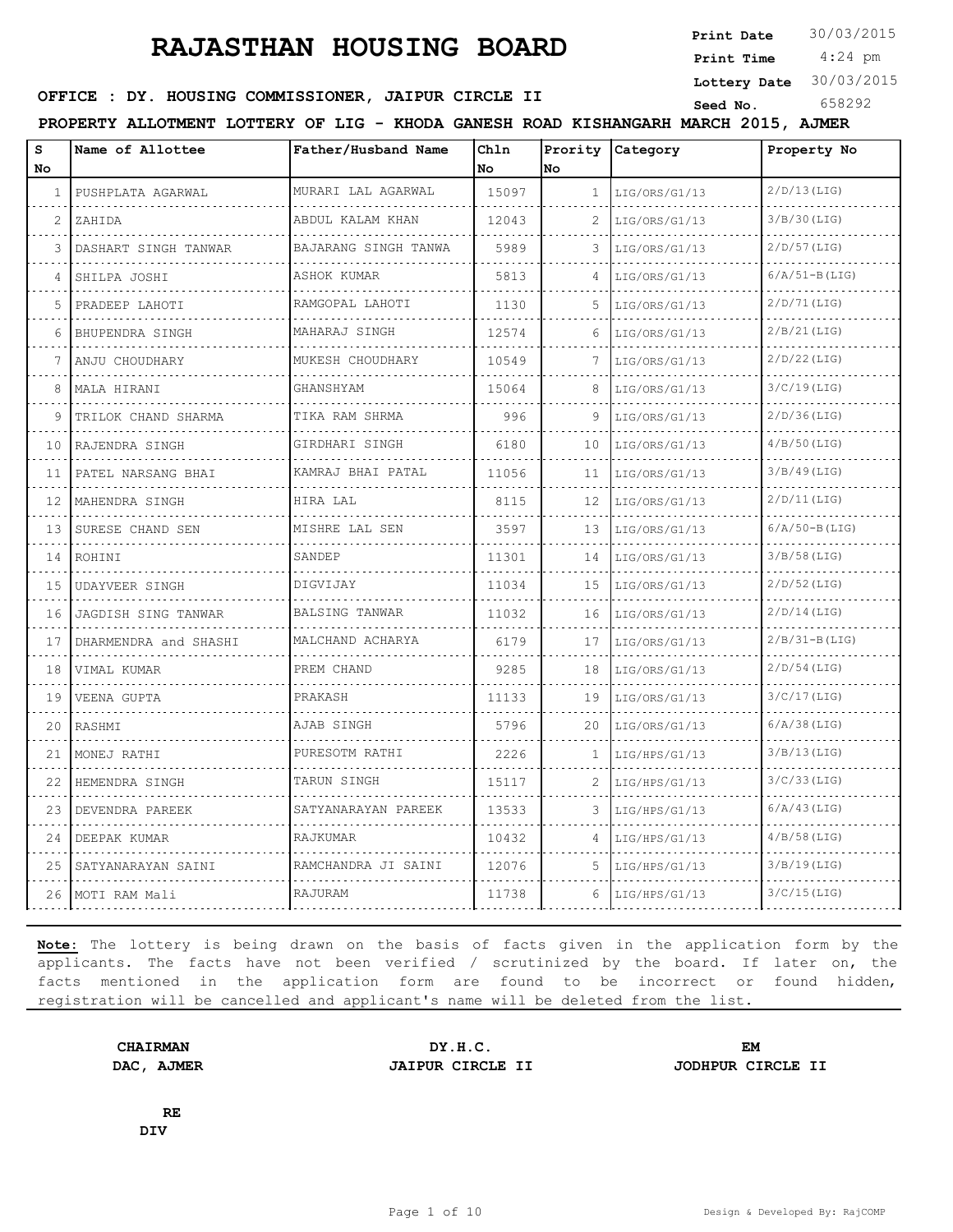**Print Date**  $30/03/2015$ 

 4:24 pm **Print Time**

**OFFICE : DY. HOUSING COMMISSIONER, JAIPUR CIRCLE II** Seed No. 658292

**Lottery Date** 30/03/2015

**PROPERTY ALLOTMENT LOTTERY OF LIG - KHODA GANESH ROAD KISHANGARH MARCH 2015, AJMER**

| s<br>No.          | Name of Allottee      | Father/Husband Name  | Chln<br><b>No</b> | No            | Prority Category | Property No     |
|-------------------|-----------------------|----------------------|-------------------|---------------|------------------|-----------------|
| 1.                | PUSHPLATA AGARWAL     | MURARI LAL AGARWAL   | 15097             | $\mathbf{1}$  | LIG/ORS/G1/13    | $2/D/13$ (LIG)  |
| 2                 | ZAHIDA                | ABDUL KALAM KHAN     | 12043             | $\mathcal{L}$ | LIG/ORS/G1/13    | 3/B/30(LIG)     |
| 3                 | DASHART SINGH TANWAR  | BAJARANG SINGH TANWA | 5989              |               | LIG/ORS/G1/13    | $2/D/57$ (LIG)  |
| 4                 | SHILPA JOSHI          | ASHOK KUMAR          | 5813              | 4             | LIG/ORS/G1/13    | $6/A/51-B(LIG)$ |
| 5                 | PRADEEP LAHOTI        | RAMGOPAL LAHOTI      | 1130              | 5             | LIG/ORS/G1/13    | $2/D/71$ (LIG)  |
| 6                 | BHUPENDRA SINGH       | MAHARAJ SINGH        | 12574             | 6             | LIG/ORS/G1/13    | $2/B/21$ (LIG)  |
| 7                 | ANJU CHOUDHARY        | MUKESH CHOUDHARY     | 10549             | 7             | LIG/ORS/G1/13    | $2/D/22$ (LIG)  |
| 8                 | MALA HIRANI           | GHANSHYAM            | 15064             | 8             | LIG/ORS/G1/13    | $3/C/19$ (LIG)  |
| 9                 | TRILOK CHAND SHARMA   | TIKA RAM SHRMA       | 996               | 9             | LIG/ORS/G1/13    | $2/D/36$ (LIG)  |
| 10                | RAJENDRA SINGH        | GIRDHARI SINGH       | 6180              | 10            | LIG/ORS/G1/13    | $4/B/50$ (LIG)  |
| 11                | PATEL NARSANG BHAI    | KAMRAJ BHAI PATAL    | 11056             | 11            | LIG/ORS/G1/13    | $3/B/49$ (LIG)  |
| $12 \overline{ }$ | MAHENDRA SINGH        | HIRA LAL             | 8115              | 12            | LIG/ORS/G1/13    | $2/D/11$ (LIG)  |
| 13                | SURESE CHAND SEN      | MISHRE LAL SEN       | 3597              | 13            | LIG/ORS/G1/13    | $6/A/50-B(LIG)$ |
| 14                | ROHINI                | SANDEP               | 11301             | 14            | LIG/ORS/G1/13    | $3/B/58$ (LIG)  |
| 15                | <b>UDAYVEER SINGH</b> | DIGVIJAY             | 11034             | 15            | LIG/ORS/G1/13    | $2/D/52$ (LIG)  |
| 16                | JAGDISH SING TANWAR   | BALSING TANWAR       | 11032             | 16            | LIG/ORS/G1/13    | $2/D/14$ (LIG)  |
| 17                | DHARMENDRA and SHASHI | MALCHAND ACHARYA     | 6179              | 17            | LIG/ORS/G1/13    | $2/B/31-B(LIG)$ |
| 18                | VIMAL KUMAR           | PREM CHAND           | 9285              | 18            | LIG/ORS/G1/13    | $2/D/54$ (LIG)  |
| 19                | VEENA GUPTA           | PRAKASH              | 11133             | 19            | LIG/ORS/G1/13    | $3/C/17$ (LIG)  |
| 20                | RASHMI                | AJAB SINGH           | 5796              | 20            | LIG/ORS/G1/13    | $6/A/38$ (LIG)  |
| 21                | MONEJ RATHI           | PURESOTM RATHI       | 2226              | 1             | LIG/HPS/G1/13    | $3/B/13$ (LIG)  |
| 22                | HEMENDRA SINGH        | TARUN SINGH          | 15117             | 2             | LIG/HPS/G1/13    | $3/C/33$ (LIG)  |
| 23                | DEVENDRA PAREEK       | SATYANARAYAN PAREEK  | 13533             | 3             | LIG/HPS/G1/13    | $6/A/43$ (LIG)  |
| 24                | DEEPAK KUMAR          | RAJKUMAR             | 10432             | 4             | LIG/HPS/G1/13    | $4/B/58$ (LIG)  |
| 25                | SATYANARAYAN SAINI    | RAMCHANDRA JI SAINI  | 12076             | 5             | LIG/HPS/G1/13    | $3/B/19$ (LIG)  |
| 26                | MOTI RAM Mali         | RAJURAM              | 11738             | 6             | LIG/HPS/G1/13    | $3/C/15$ (LIG)  |

**Note:** The lottery is being drawn on the basis of facts given in the application form by the applicants. The facts have not been verified / scrutinized by the board. If later on, the facts mentioned in the application form are found to be incorrect or found hidden, registration will be cancelled and applicant's name will be deleted from the list.

**DAC, AJMER JAIPUR CIRCLE II JODHPUR CIRCLE II**

**CHAIRMAN DY.H.C. EM**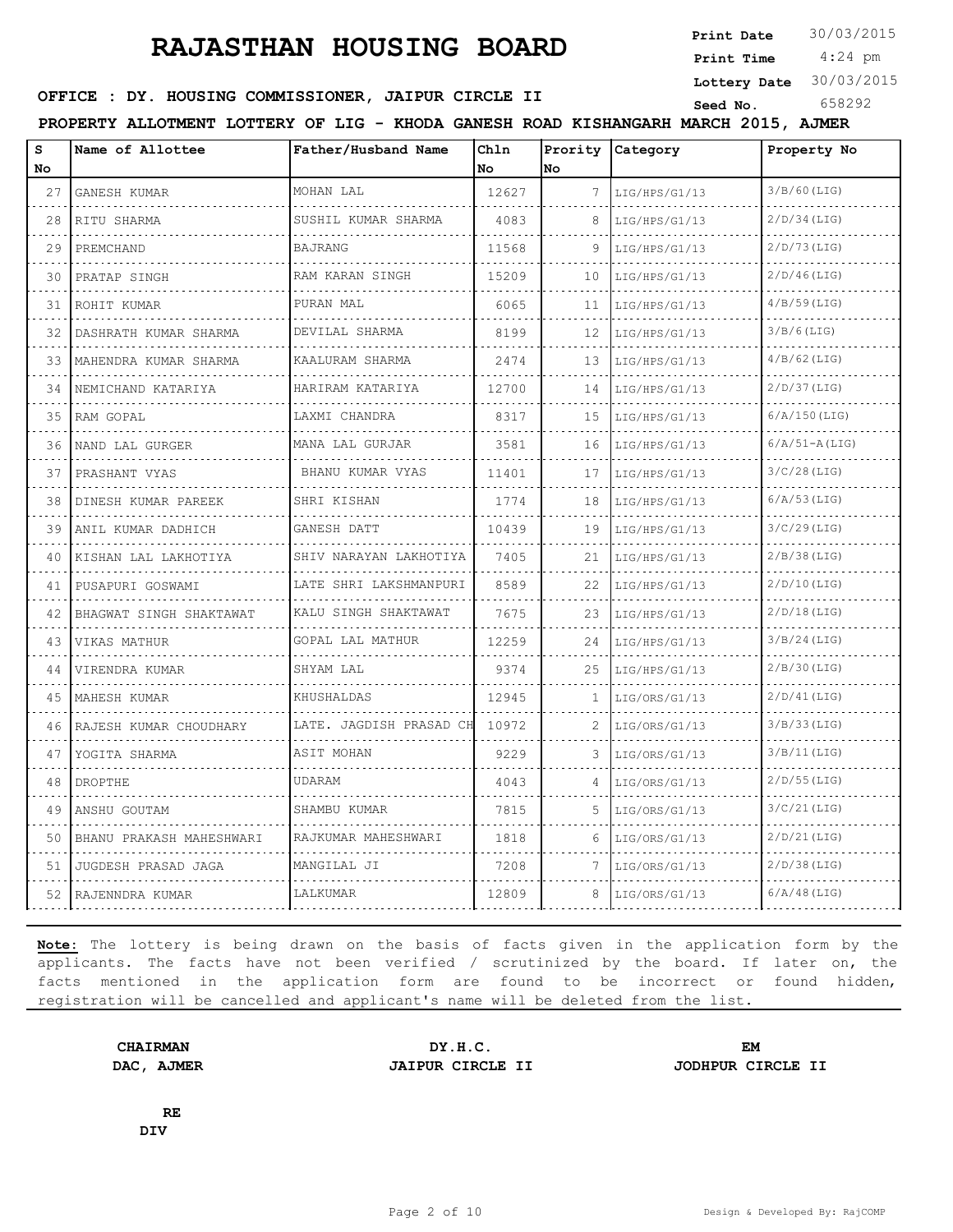**Print Date**  $30/03/2015$ 

 4:24 pm **Print Time**

**Lottery Date** 30/03/2015

## **SEED OFFICE : DY. HOUSING COMMISSIONER, JAIPUR CIRCLE II** Seed No. 658292

**PROPERTY ALLOTMENT LOTTERY OF LIG - KHODA GANESH ROAD KISHANGARH MARCH 2015, AJMER**

| s        | Name of Allottee           | Father/Husband Name         | Chln        |                    | Prority Category | Property No       |
|----------|----------------------------|-----------------------------|-------------|--------------------|------------------|-------------------|
| No<br>27 | GANESH KUMAR               | MOHAN LAL                   | No<br>12627 | lNo.<br>7          | LIG/HPS/G1/13    | $3/B/60$ (LIG)    |
| 28       | RITU SHARMA                | SUSHIL KUMAR SHARMA         | 4083        | 8                  | LIG/HPS/G1/13    | $2/D/34$ (LIG)    |
| 29       |                            | <b>BAJRANG</b>              | 11568       | 9                  |                  | $2/D/73$ (LIG)    |
|          | PREMCHAND                  |                             |             |                    | LIG/HPS/G1/13    |                   |
| 30       | PRATAP SINGH               | RAM KARAN SINGH<br><u>.</u> | 15209       | 10                 | LIG/HPS/G1/13    | $2/D/46$ (LIG)    |
| 31       | ROHIT KUMAR                | PURAN MAL                   | 6065        | 11                 | LIG/HPS/G1/13    | $4/B/59$ (LIG)    |
| 32       | DASHRATH KUMAR SHARMA<br>. | DEVILAL SHARMA<br>.         | 8199        | 12                 | LIG/HPS/G1/13    | $3/B/6$ (LIG)     |
| 33       | MAHENDRA KUMAR SHARMA      | KAALURAM SHARMA<br>.        | 2474        | 13                 | LIG/HPS/G1/13    | $4/B/62$ (LIG)    |
| 34       | NEMICHAND KATARIYA         | HARIRAM KATARIYA            | 12700       | 14                 | LIG/HPS/G1/13    | $2/D/37$ (LIG)    |
| 35       | RAM GOPAL                  | LAXMI CHANDRA<br>.          | 8317        | 15                 | LIG/HPS/G1/13    | $6/A/150$ (LIG)   |
| 36       | NAND LAL GURGER            | MANA LAL GURJAR             | 3581        | 16                 | LIG/HPS/G1/13    | $6/A/51 - A(LIG)$ |
| 37       | PRASHANT VYAS              | BHANU KUMAR VYAS            | 11401       | 17                 | LIG/HPS/G1/13    | $3/C/28$ (LIG)    |
| 38       | DINESH KUMAR PAREEK        | SHRI KISHAN<br>.            | 1774        | 18                 | LIG/HPS/G1/13    | $6/A/53$ (LIG)    |
| 39       | ANIL KUMAR DADHICH         | GANESH DATT                 | 10439       | 19                 | LIG/HPS/G1/13    | $3/C/29$ (LIG)    |
| 40       | KISHAN LAL LAKHOTIYA       | SHIV NARAYAN LAKHOTIYA      | 7405        | 21                 | LIG/HPS/G1/13    | $2/B/38$ (LIG)    |
| 41       | PUSAPURI GOSWAMI           | LATE SHRI LAKSHMANPURI<br>. | 8589        | 22<br>$-1 - 1 - 1$ | LIG/HPS/G1/13    | $2/D/10$ (LIG)    |
| 42       | BHAGWAT SINGH SHAKTAWAT    | KALU SINGH SHAKTAWAT<br>.   | 7675        | 23                 | LIG/HPS/G1/13    | $2/D/18$ (LIG)    |
| 43       | VIKAS MATHUR               | GOPAL LAL MATHUR            | 12259       | 24                 | LIG/HPS/G1/13    | $3/B/24$ (LIG)    |
| 44       | VIRENDRA KUMAR             | SHYAM LAL                   | 9374        | 25                 | LIG/HPS/G1/13    | $2/B/30$ (LIG)    |
| 45       | MAHESH KUMAR               | KHUSHALDAS                  | 12945       | $\mathbf{1}$       | LIG/ORS/G1/13    | $2/D/41$ (LIG)    |
| 46       | RAJESH KUMAR CHOUDHARY     | LATE. JAGDISH PRASAD CH     | 10972       | $\mathfrak{D}$     | LIG/ORS/G1/13    | 3/B/33(LIG)       |
| 47       | YOGITA SHARMA              | ASIT MOHAN                  | 9229        | 3                  | LIG/ORS/G1/13    | $3/B/11$ (LIG)    |
| 48       | DROPTHE                    | UDARAM                      | 4043        | 4                  | LIG/ORS/G1/13    | $2/D/55$ (LIG)    |
| 49       | ANSHU GOUTAM               | SHAMBU KUMAR                | 7815        | 5                  | LIG/ORS/G1/13    | $3/C/21$ (LIG)    |
| 50       | BHANU PRAKASH MAHESHWARI   | RAJKUMAR MAHESHWARI         | 1818        | 6                  | LIG/ORS/G1/13    | $2/D/21$ (LIG)    |
| 51       | JUGDESH PRASAD JAGA        | MANGILAL JI                 | 7208        | 7                  | LIG/ORS/G1/13    | $2/D/38$ (LIG)    |
| 52.      | RAJENNDRA KUMAR            | LALKUMAR                    | 12809       | 8                  | LIG/ORS/G1/13    | $6/A/48$ (LIG)    |
|          |                            |                             |             |                    |                  |                   |

**Note:** The lottery is being drawn on the basis of facts given in the application form by the applicants. The facts have not been verified / scrutinized by the board. If later on, the facts mentioned in the application form are found to be incorrect or found hidden, registration will be cancelled and applicant's name will be deleted from the list.

**CHAIRMAN DY.H.C. EM DAC, AJMER JAIPUR CIRCLE II JODHPUR CIRCLE II**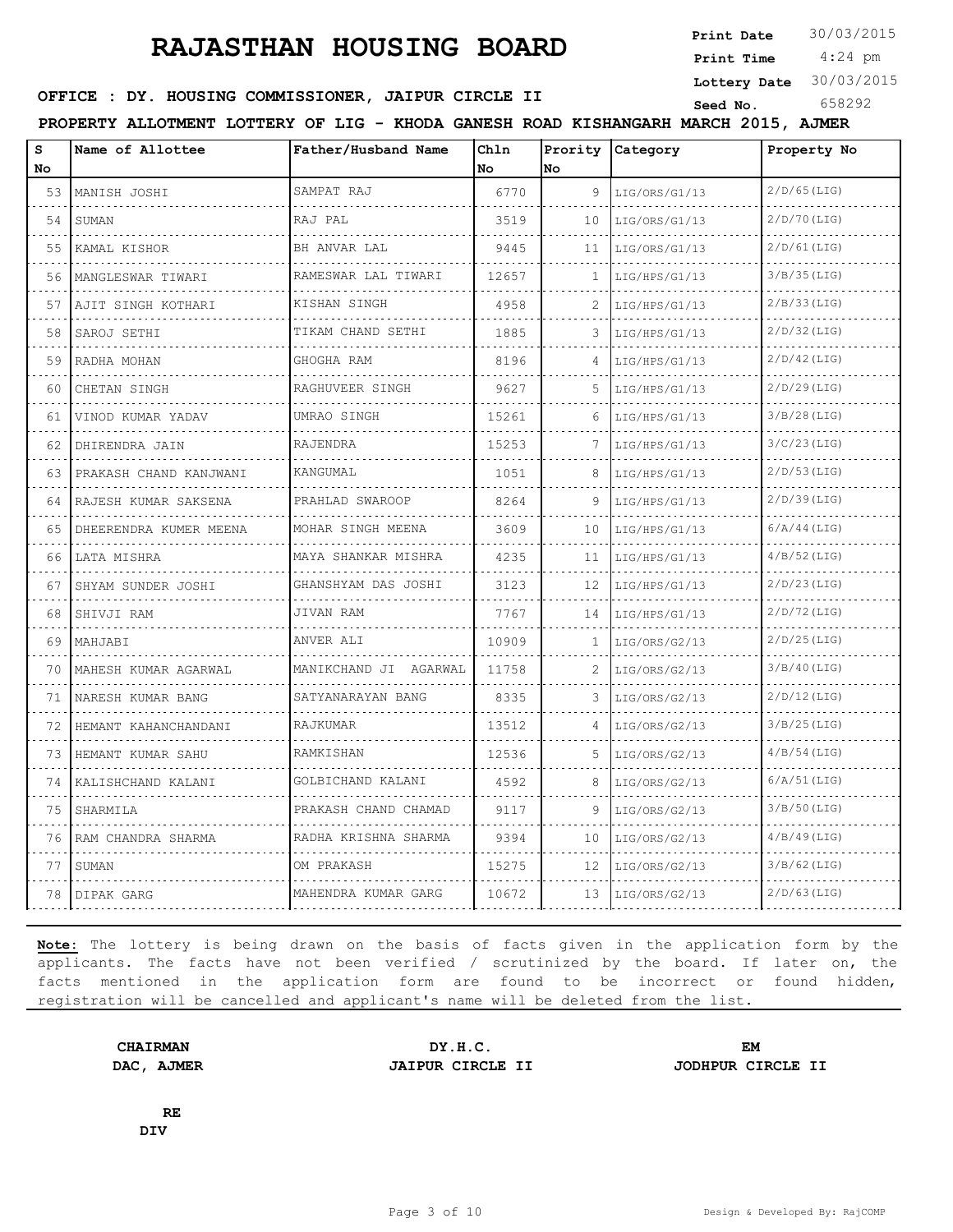**Print Date**  $30/03/2015$ 

 4:24 pm **Print Time Lottery Date** 30/03/2015

## **OFFICE : DY. HOUSING COMMISSIONER, JAIPUR CIRCLE II** Seed No. 658292

**PROPERTY ALLOTMENT LOTTERY OF LIG - KHODA GANESH ROAD KISHANGARH MARCH 2015, AJMER**

| s<br>No | Name of Allottee       | Father/Husband Name   | Chln<br>No | lno          | Prority Category | Property No    |
|---------|------------------------|-----------------------|------------|--------------|------------------|----------------|
| 53      | MANISH JOSHI           | SAMPAT RAJ            | 6770       | 9            | LIG/ORS/G1/13    | $2/D/65$ (LIG) |
| 54      | <b>SUMAN</b>           | RAJ PAL               | 3519       | 10           | LIG/ORS/G1/13    | $2/D/70$ (LIG) |
| 55      | KAMAL KISHOR           | BH ANVAR LAL          | 9445       | 11           | LIG/ORS/G1/13    | $2/D/61$ (LIG) |
| 56      | MANGLESWAR TIWARI      | RAMESWAR LAL TIWARI   | 12657      | $\mathbf{1}$ | LIG/HPS/G1/13    | $3/B/35$ (LIG) |
| 57      | AJIT SINGH KOTHARI     | KISHAN SINGH          | 4958       | 2            | LIG/HPS/G1/13    | 2/B/33(LIG)    |
| 58      | SAROJ SETHI            | TIKAM CHAND SETHI     | 1885       |              | LIG/HPS/G1/13    | $2/D/32$ (LIG) |
| 59      | RADHA MOHAN            | GHOGHA RAM            | 8196       | 4            | LIG/HPS/G1/13    | $2/D/42$ (LIG) |
| 60      | CHETAN SINGH           | RAGHUVEER SINGH       | 9627       | 5.           | LIG/HPS/G1/13    | $2/D/29$ (LIG) |
| 61      | VINOD KUMAR YADAV      | UMRAO SINGH           | 15261      | 6            | LIG/HPS/G1/13    | $3/B/28$ (LIG) |
| 62      | DHIRENDRA JAIN         | RAJENDRA              | 15253      | 7            | LIG/HPS/G1/13    | $3/C/23$ (LIG) |
| 63      | PRAKASH CHAND KANJWANI | KANGUMAL              | 1051       | 8            | LIG/HPS/G1/13    | $2/D/53$ (LIG) |
| 64      | RAJESH KUMAR SAKSENA   | PRAHLAD SWAROOP       | 8264       | 9            | LIG/HPS/G1/13    | $2/D/39$ (LIG) |
| 65      | DHEERENDRA KUMER MEENA | MOHAR SINGH MEENA     | 3609       | 10           | LIG/HPS/G1/13    | $6/A/44$ (LIG) |
| 66      | LATA MISHRA            | MAYA SHANKAR MISHRA   | 4235       | 11           | LIG/HPS/G1/13    | $4/B/52$ (LIG) |
| 67      | SHYAM SUNDER JOSHI     | GHANSHYAM DAS JOSHI   | 3123       | 12           | LIG/HPS/G1/13    | $2/D/23$ (LIG) |
| 68      | SHIVJI RAM             | JIVAN RAM             | 7767       | 14           | LIG/HPS/G1/13    | $2/D/72$ (LIG) |
| 69      | MAHJABI                | ANVER ALI             | 10909      | 1.           | LIG/ORS/G2/13    | $2/D/25$ (LIG) |
| 70      | MAHESH KUMAR AGARWAL   | MANIKCHAND JI AGARWAL | 11758      | 2            | LIG/ORS/G2/13    | $3/B/40$ (LIG) |
| 71      | NARESH KUMAR BANG      | SATYANARAYAN BANG     | 8335       | 3            | LIG/ORS/G2/13    | $2/D/12$ (LIG) |
| 72      | HEMANT KAHANCHANDANI   | RAJKUMAR              | 13512      | 4            | LIG/ORS/G2/13    | $3/B/25$ (LIG) |
| 73      | HEMANT KUMAR SAHU      | RAMKISHAN             | 12536      |              | LIG/ORS/G2/13    | $4/B/54$ (LIG) |
| 74      | KALISHCHAND KALANI     | GOLBICHAND KALANI     | 4592       | 8            | LIG/ORS/G2/13    | $6/A/51$ (LIG) |
| 75      | SHARMILA               | PRAKASH CHAND CHAMAD  | 9117       | 9            | LIG/ORS/G2/13    | $3/B/50$ (LIG) |
| 76      | RAM CHANDRA SHARMA     | RADHA KRISHNA SHARMA  | 9394       | 10           | LIG/ORS/G2/13    | $4/B/49$ (LIG) |
| 77      | SUMAN                  | OM PRAKASH            | 15275      | 12           | LIG/ORS/G2/13    | $3/B/62$ (LIG) |
| 78      | DIPAK GARG             | MAHENDRA KUMAR GARG   | 10672      | 13           | LIG/ORS/G2/13    | $2/D/63$ (LIG) |

**Note:** The lottery is being drawn on the basis of facts given in the application form by the applicants. The facts have not been verified / scrutinized by the board. If later on, the facts mentioned in the application form are found to be incorrect or found hidden, registration will be cancelled and applicant's name will be deleted from the list.

**DAC, AJMER JAIPUR CIRCLE II JODHPUR CIRCLE II**

**CHAIRMAN DY.H.C. EM**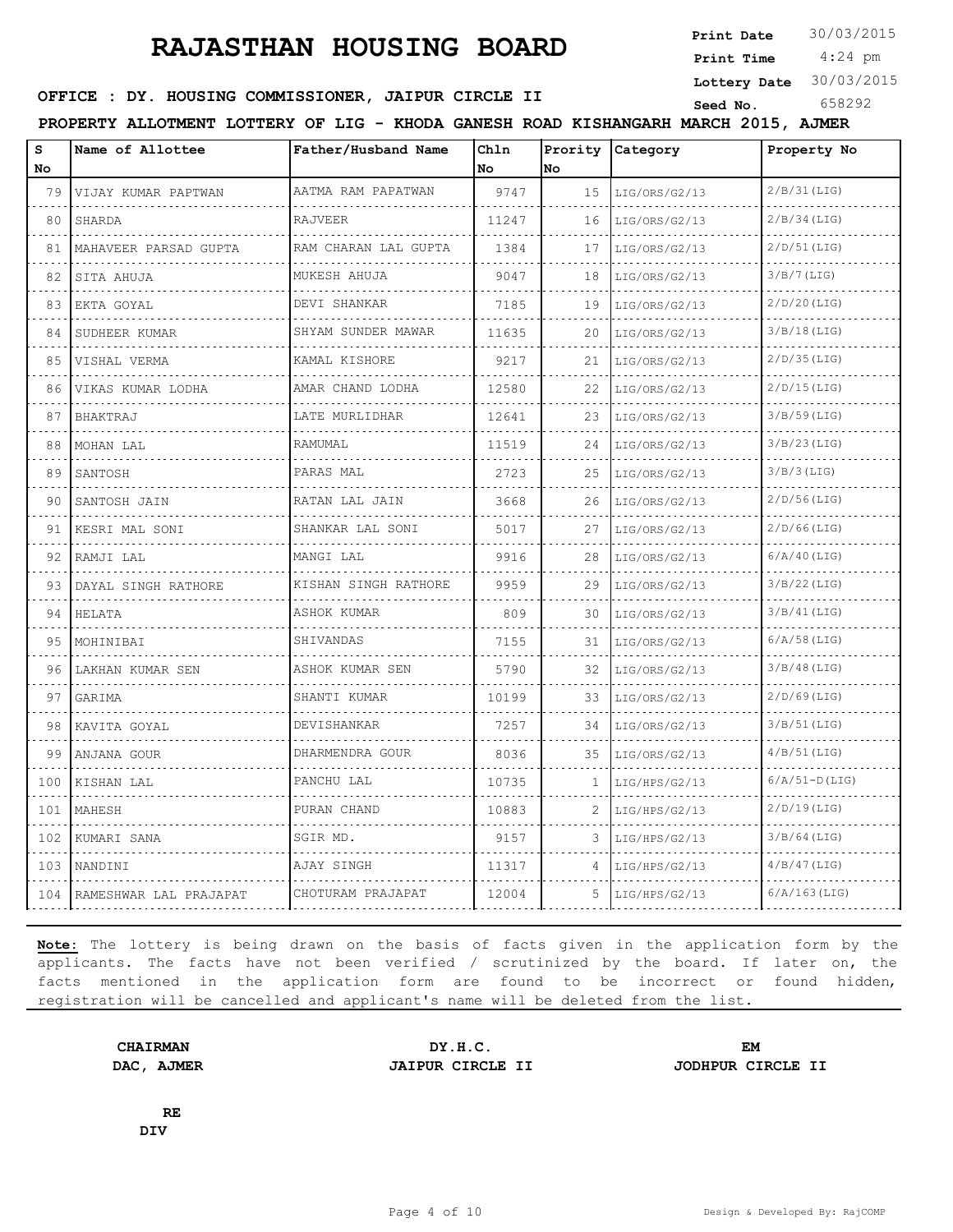**Print Date**  $30/03/2015$ 

 4:24 pm **Print Time Lottery Date** 30/03/2015

## **SEED OFFICE : DY. HOUSING COMMISSIONER, JAIPUR CIRCLE II** Seed No. 658292

**PROPERTY ALLOTMENT LOTTERY OF LIG - KHODA GANESH ROAD KISHANGARH MARCH 2015, AJMER**

| s                        | Name of Allottee           | Father/Husband Name     | Ch1n  |    | Prority Category | Property No     |
|--------------------------|----------------------------|-------------------------|-------|----|------------------|-----------------|
| No                       |                            |                         | No    | No |                  |                 |
| 79                       | VIJAY KUMAR PAPTWAN        | AATMA RAM PAPATWAN      | 9747  | 15 | LIG/ORS/G2/13    | 2/B/31(LIG)     |
| 80                       | SHARDA                     | <b>RAJVEER</b>          | 11247 | 16 | LIG/ORS/G2/13    | $2/B/34$ (LIG)  |
| 81                       | MAHAVEER PARSAD GUPTA      | RAM CHARAN LAL GUPTA    | 1384  | 17 | LIG/ORS/G2/13    | $2/D/51$ (LIG)  |
| 82                       | SITA AHUJA                 | MUKESH AHUJA            | 9047  | 18 | LIG/ORS/G2/13    | 3/B/7(LIG)      |
| 83                       | EKTA GOYAL                 | DEVI SHANKAR            | 7185  | 19 | LIG/ORS/G2/13    | $2/D/20$ (LIG)  |
| 84                       | SUDHEER KUMAR              | SHYAM SUNDER MAWAR<br>. | 11635 | 20 | LIG/ORS/G2/13    | $3/B/18$ (LIG)  |
| 85                       | VISHAL VERMA               | KAMAL KISHORE           | 9217  | 21 | LIG/ORS/G2/13    | $2/D/35$ (LIG)  |
| 86                       | VIKAS KUMAR LODHA          | AMAR CHAND LODHA<br>.   | 12580 | 22 | LIG/ORS/G2/13    | $2/D/15$ (LIG)  |
| 87                       | BHAKTRAJ                   | LATE MURLIDHAR          | 12641 | 23 | LIG/ORS/G2/13    | $3/B/59$ (LIG)  |
| 88                       | MOHAN LAL                  | RAMUMAL                 | 11519 | 24 | LIG/ORS/G2/13    | $3/B/23$ (LIG)  |
| 89                       | SANTOSH                    | PARAS MAL               | 2723  | 25 | LIG/ORS/G2/13    | $3/B/3$ (LIG)   |
| 90                       | SANTOSH JAIN               | RATAN LAL JAIN          | 3668  | 26 | LIG/ORS/G2/13    | $2/D/56$ (LIG)  |
| 91                       | KESRI MAL SONI             | SHANKAR LAL SONI        | 5017  | 27 | LIG/ORS/G2/13    | $2/D/66$ (LIG)  |
| 92                       | RAMJI LAL                  | MANGI LAL               | 9916  | 28 | LIG/ORS/G2/13    | $6/A/40$ (LIG)  |
| 93                       | DAYAL SINGH RATHORE        | KISHAN SINGH RATHORE    | 9959  | 29 | LIG/ORS/G2/13    | $3/B/22$ (LIG)  |
| 94                       | HELATA                     | ASHOK KUMAR             | 809   | 30 | LIG/ORS/G2/13    | 3/B/41(LIG)     |
| 95                       | MOHINIBAI                  | SHIVANDAS               | 7155  | 31 | LIG/ORS/G2/13    | $6/A/58$ (LIG)  |
| 96                       | LAKHAN KUMAR SEN           | ASHOK KUMAR SEN         | 5790  | 32 | LIG/ORS/G2/13    | $3/B/48$ (LIG)  |
| 97                       | GARIMA                     | SHANTI KUMAR            | 10199 | 33 | LIG/ORS/G2/13    | $2/D/69$ (LIG)  |
| 98                       | KAVITA GOYAL               | DEVISHANKAR             | 7257  | 34 | LIG/ORS/G2/13    | 3/B/51(LIG)     |
| 99                       | ANJANA GOUR                | DHARMENDRA GOUR         | 8036  | 35 | LIG/ORS/G2/13    | $4/B/51$ (LIG)  |
| 100                      | KISHAN LAL                 | PANCHU LAL              | 10735 | 1  | LIG/HPS/G2/13    | $6/A/51-D(LIG)$ |
| 101<br><b>2000 - 200</b> | MAHESH                     | PURAN CHAND             | 10883 | 2  | LIG/HPS/G2/13    | $2/D/19$ (LIG)  |
| 102                      | KUMARI SANA                | SGIR MD.                | 9157  | 3  | LIG/HPS/G2/13    | $3/B/64$ (LIG)  |
| 103                      | NANDINI                    | AJAY SINGH              | 11317 | 4  | LIG/HPS/G2/13    | $4/B/47$ (LIG)  |
|                          | 104 RAMESHWAR LAL PRAJAPAT | CHOTURAM PRAJAPAT       | 12004 | 5  | LIG/HPS/G2/13    | $6/A/163$ (LIG) |
|                          |                            |                         |       |    |                  |                 |

**Note:** The lottery is being drawn on the basis of facts given in the application form by the applicants. The facts have not been verified / scrutinized by the board. If later on, the facts mentioned in the application form are found to be incorrect or found hidden, registration will be cancelled and applicant's name will be deleted from the list.

**CHAIRMAN DY.H.C. EM DAC, AJMER JAIPUR CIRCLE II JODHPUR CIRCLE II**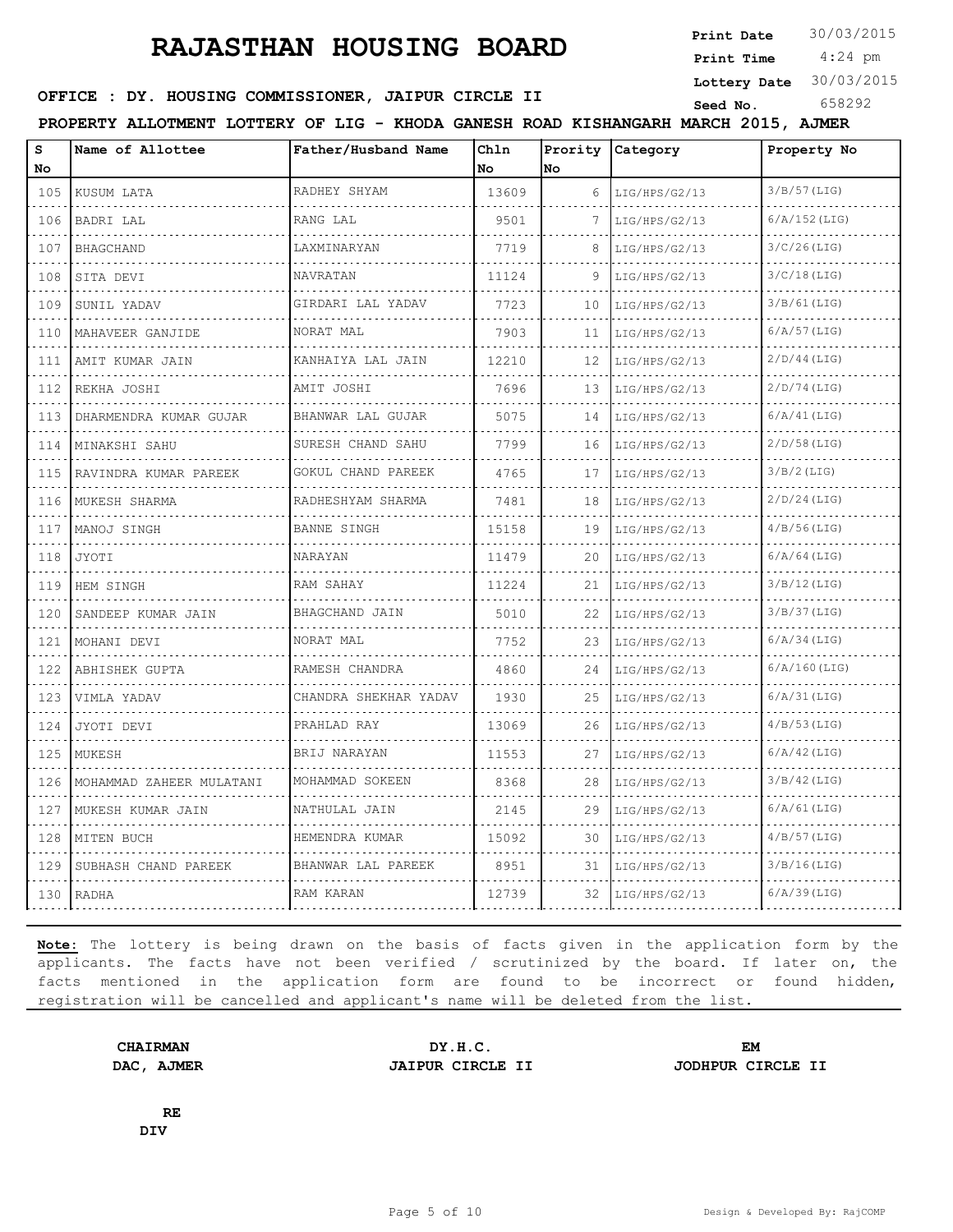**Print Date**  $30/03/2015$ 

 4:24 pm **Print Time**

**Lottery Date** 30/03/2015

## **OFFICE : DY. HOUSING COMMISSIONER, JAIPUR CIRCLE II** Seed No. 658292

**PROPERTY ALLOTMENT LOTTERY OF LIG - KHODA GANESH ROAD KISHANGARH MARCH 2015, AJMER**

| S<br>No  | Name of Allottee         | Father/Husband Name                    | Chln<br>No | No. | Prority Category   | Property No     |
|----------|--------------------------|----------------------------------------|------------|-----|--------------------|-----------------|
| 105      | KUSUM LATA               | RADHEY SHYAM                           | 13609      | 6   | LIG/HPS/G2/13      | $3/B/57$ (LIG)  |
| .<br>106 | BADRI LAL                | .<br>RANG LAL                          | 9501       |     | .<br>LIG/HPS/G2/13 | $6/A/152$ (LIG) |
| 107      | <b>BHAGCHAND</b>         | LAXMINARYAN                            | 7719       | 8   | LIG/HPS/G2/13      | $3/C/26$ (LIG)  |
| 108      | SITA DEVI                | NAVRATAN                               | 11124      | 9   | LIG/HPS/G2/13      | $3/C/18$ (LIG)  |
| .<br>109 | SUNIL YADAV              | a dia dia dia dia<br>GIRDARI LAL YADAV | 7723       | 10  | .<br>LIG/HPS/G2/13 | $3/B/61$ (LIG)  |
| 110      | MAHAVEER GANJIDE         | NORAT MAL                              | 7903       | 11  | LIG/HPS/G2/13      | $6/A/57$ (LIG)  |
| 111      | 'AMIT KUMAR JAIN         | KANHAIYA LAL JAIN<br>.                 | 12210      | 12  | LIG/HPS/G2/13      | $2/D/44$ (LIG)  |
| .<br>112 | REKHA JOSHI              | AMIT JOSHI                             | 7696       | 13  | LIG/HPS/G2/13      | $2/D/74$ (LIG)  |
| .<br>113 | DHARMENDRA KUMAR GUJAR   | BHANWAR LAL GUJAR                      | 5075       | 14  | LIG/HPS/G2/13      | 6/A/41(LIG)     |
| .<br>114 | MINAKSHI SAHU            | .<br>SURESH CHAND SAHU                 | 7799       | 16  | LIG/HPS/G2/13      | $2/D/58$ (LIG)  |
| 115      | RAVINDRA KUMAR PAREEK    | GOKUL CHAND PAREEK                     | 4765       | 17  | LIG/HPS/G2/13      | $3/B/2$ (LIG)   |
| 116      | MUKESH SHARMA            | RADHESHYAM SHARMA                      | 7481       | 18  | LIG/HPS/G2/13      | $2/D/24$ (LIG)  |
| 117      | MANOJ SINGH              | .<br><b>BANNE SINGH</b>                | 15158      | 19  | LIG/HPS/G2/13      | $4/B/56$ (LIG)  |
| 118      | JYOTI                    | NARAYAN                                | 11479      | 20  | LIG/HPS/G2/13      | $6/A/64$ (LIG)  |
| 119      | HEM SINGH                | RAM SAHAY                              | 11224      | 21  | LIG/HPS/G2/13      | $3/B/12$ (LIG)  |
| 120      | SANDEEP KUMAR JAIN       | BHAGCHAND JAIN                         | 5010       | 22  | LIG/HPS/G2/13      | 3/B/37(LIG)     |
| .<br>121 | MOHANI DEVI              | NORAT MAL                              | 7752       | 23  | LIG/HPS/G2/13      | $6/A/34$ (LIG)  |
| .<br>122 | ABHISHEK GUPTA           | RAMESH CHANDRA                         | 4860       | 24  | LIG/HPS/G2/13      | $6/A/160$ (LIG) |
| 123      | VIMLA YADAV              | CHANDRA SHEKHAR YADAV                  | 1930       | 25  | LIG/HPS/G2/13      | $6/A/31$ (LIG)  |
| 124      | JYOTI DEVI               | PRAHLAD RAY                            | 13069      | 26  | LIG/HPS/G2/13      | $4/B/53$ (LIG)  |
| 125      | MUKESH                   | BRIJ NARAYAN                           | 11553      | 27  | LIG/HPS/G2/13      | $6/A/42$ (LIG)  |
| .<br>126 | MOHAMMAD ZAHEER MULATANI | MOHAMMAD SOKEEN                        | 8368       | 28  | LIG/HPS/G2/13      | $3/B/42$ (LIG)  |
| .<br>127 | MUKESH KUMAR JAIN        | NATHULAL JAIN                          | 2145       | 29  | LIG/HPS/G2/13      | $6/A/61$ (LIG)  |
| 128      | MITEN BUCH               | HEMENDRA KUMAR<br>.                    | 15092      | 30  | LIG/HPS/G2/13      | $4/B/57$ (LIG)  |
| .<br>129 | SUBHASH CHAND PAREEK     | BHANWAR LAL PAREEK                     | 8951       | 31  | LIG/HPS/G2/13      | 3/B/16(LIG)     |
| 130      | RADHA                    | RAM KARAN                              | 12739      | 32  | LIG/HPS/G2/13      | $6/A/39$ (LIG)  |
|          |                          |                                        |            |     |                    |                 |

**Note:** The lottery is being drawn on the basis of facts given in the application form by the applicants. The facts have not been verified / scrutinized by the board. If later on, the facts mentioned in the application form are found to be incorrect or found hidden, registration will be cancelled and applicant's name will be deleted from the list.

**DAC, AJMER JAIPUR CIRCLE II JODHPUR CIRCLE II**

**CHAIRMAN DY.H.C. EM**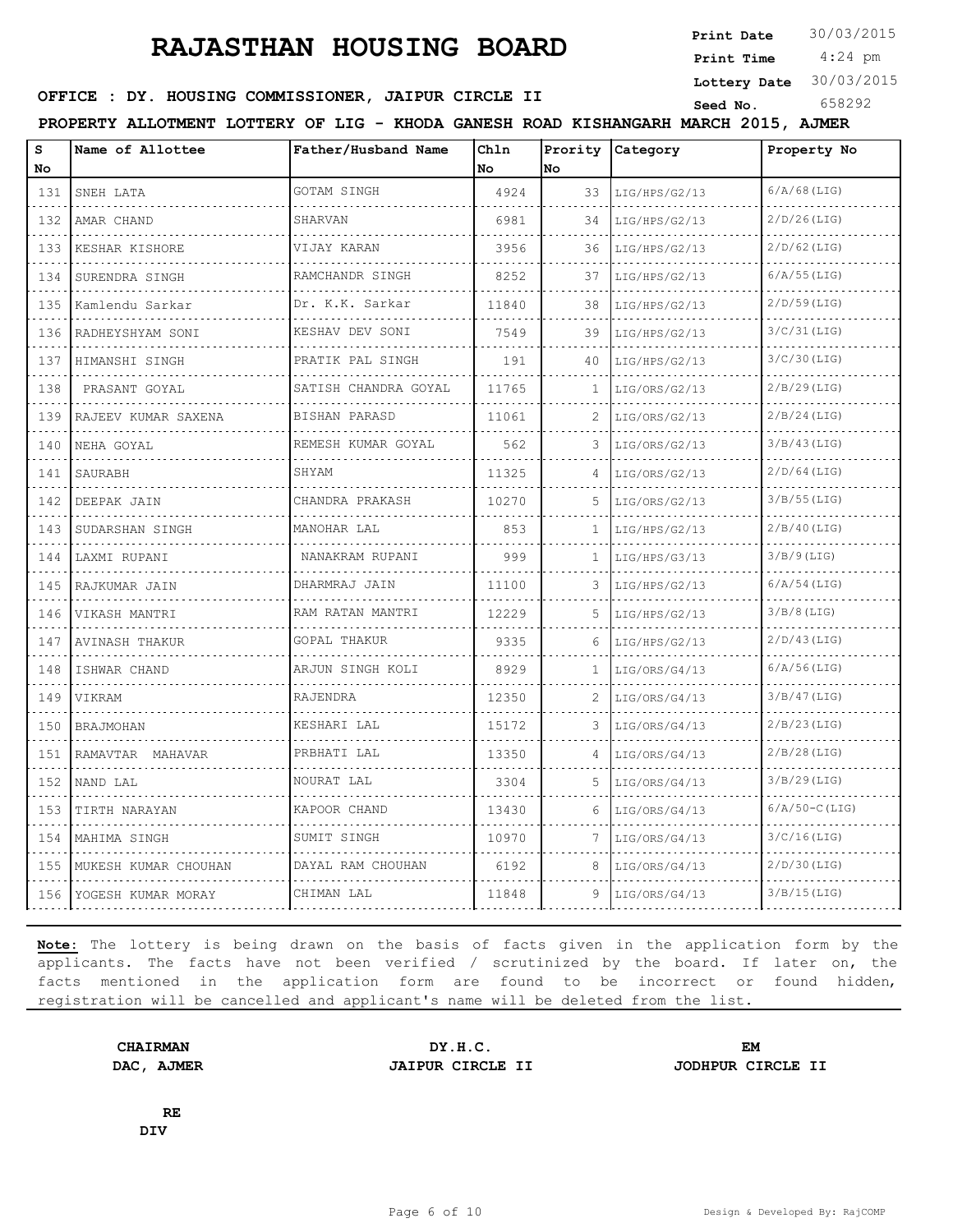**Print Date**  $30/03/2015$ 

 4:24 pm **Print Time Lottery Date** 30/03/2015

#### **SEED OFFICE : DY. HOUSING COMMISSIONER, JAIPUR CIRCLE II** Seed No. 658292

|          | PROPERTY ALLOTMENT LOTTERY OF LIG - KHODA GANESH ROAD KISHANGARH MARCH 2015, AJMER |                                  |            |              |                  |                 |  |  |  |  |
|----------|------------------------------------------------------------------------------------|----------------------------------|------------|--------------|------------------|-----------------|--|--|--|--|
| s<br>No  | Name of Allottee                                                                   | Father/Husband Name              | Chln<br>No | No           | Prority Category | Property No     |  |  |  |  |
| 131      | SNEH LATA                                                                          | GOTAM SINGH                      | 4924       | 33           | LIG/HPS/G2/13    | $6/A/68$ (LIG)  |  |  |  |  |
| 132      | AMAR CHAND                                                                         | SHARVAN                          | 6981       | 34           | LIG/HPS/G2/13    | $2/D/26$ (LIG)  |  |  |  |  |
| 133      | KESHAR KISHORE                                                                     | VIJAY KARAN                      | 3956       | 36           | LIG/HPS/G2/13    | $2/D/62$ (LIG)  |  |  |  |  |
| 134      | SURENDRA SINGH                                                                     | RAMCHANDR SINGH                  | 8252       | 37           | LIG/HPS/G2/13    | $6/A/55$ (LIG)  |  |  |  |  |
| 135      | Kamlendu Sarkar                                                                    | Dr. K.K. Sarkar                  | 11840      | 38           | LIG/HPS/G2/13    | $2/D/59$ (LIG)  |  |  |  |  |
| .<br>136 | RADHEYSHYAM SONI                                                                   | KESHAV DEV SONI                  | 7549       | 39           | LIG/HPS/G2/13    | $3/C/31$ (LIG)  |  |  |  |  |
| 137      | HIMANSHI SINGH                                                                     | PRATIK PAL SINGH                 | 191        | 40           | LIG/HPS/G2/13    | $3/C/30$ (LIG)  |  |  |  |  |
| 138      | PRASANT GOYAL                                                                      | <u>.</u><br>SATISH CHANDRA GOYAL | 11765      |              | LIG/ORS/G2/13    | $2/B/29$ (LIG)  |  |  |  |  |
| 139      | RAJEEV KUMAR SAXENA                                                                | BISHAN PARASD                    | 11061      | 2            | LIG/ORS/G2/13    | $2/B/24$ (LIG)  |  |  |  |  |
| 140      | NEHA GOYAL                                                                         | REMESH KUMAR GOYAL               | 562        | 3            | LIG/ORS/G2/13    | 3/B/43(LIG)     |  |  |  |  |
| 141      | SAURABH                                                                            | SHYAM                            | 11325      | 4            | LIG/ORS/G2/13    | $2/D/64$ (LIG)  |  |  |  |  |
| .<br>142 | DEEPAK JAIN                                                                        | CHANDRA PRAKASH                  | 10270      |              | LIG/ORS/G2/13    | $3/B/55$ (LIG)  |  |  |  |  |
| 143      | SUDARSHAN SINGH                                                                    | MANOHAR LAL                      | 853        | 1            | LIG/HPS/G2/13    | $2/B/40$ (LIG)  |  |  |  |  |
| 144      | LAXMI RUPANI                                                                       | NANAKRAM RUPANI                  | 999        | 1            | LIG/HPS/G3/13    | $3/B/9$ (LIG)   |  |  |  |  |
| .<br>145 | .<br>RAJKUMAR JAIN                                                                 | .<br>DHARMRAJ JAIN               | 11100      | 3            | LIG/HPS/G2/13    | $6/A/54$ (LIG)  |  |  |  |  |
| 146      | VIKASH MANTRI                                                                      | RAM RATAN MANTRI                 | 12229      | 5            | LIG/HPS/G2/13    | $3/B/8$ (LIG)   |  |  |  |  |
| 147      | AVINASH THAKUR                                                                     | .<br>GOPAL THAKUR                | 9335       | 6            | LIG/HPS/G2/13    | $2/D/43$ (LIG)  |  |  |  |  |
| 148      | ISHWAR CHAND                                                                       | ARJUN SINGH KOLI                 | 8929       | $\mathbf{1}$ | LIG/ORS/G4/13    | $6/A/56$ (LIG)  |  |  |  |  |
| 149      | <b>VIKRAM</b>                                                                      | RAJENDRA                         | 12350      | 2            | LIG/ORS/G4/13    | $3/B/47$ (LIG)  |  |  |  |  |
| 150      | <b>BRAJMOHAN</b>                                                                   | KESHARI LAL                      | 15172      | 3            | LIG/ORS/G4/13    | 2/B/23(LIG)     |  |  |  |  |
| 151      | RAMAVTAR MAHAVAR                                                                   | PRBHATI LAL                      | 13350      |              | LIG/ORS/G4/13    | $2/B/28$ (LIG)  |  |  |  |  |
| 152      | NAND LAL                                                                           | NOURAT LAL                       | 3304       | .5           | LIG/ORS/G4/13    | $3/B/29$ (LIG)  |  |  |  |  |
| 153      | TIRTH NARAYAN                                                                      | KAPOOR CHAND                     | 13430      | 6            | LIG/ORS/G4/13    | $6/A/50-C(LIG)$ |  |  |  |  |
| 154      | MAHIMA SINGH                                                                       | SUMIT SINGH                      | 10970      |              | LIG/ORS/G4/13    | $3/C/16$ (LIG)  |  |  |  |  |
| 155      | MUKESH KUMAR CHOUHAN                                                               | DAYAL RAM CHOUHAN                | 6192       | 8            | LIG/ORS/G4/13    | $2/D/30$ (LIG)  |  |  |  |  |
| 156      | YOGESH KUMAR MORAY                                                                 | CHIMAN LAL                       | 11848      | 9            | LIG/ORS/G4/13    | 3/B/15(LIG)     |  |  |  |  |

**Note:** The lottery is being drawn on the basis of facts given in the application form by the applicants. The facts have not been verified / scrutinized by the board. If later on, the facts mentioned in the application form are found to be incorrect or found hidden, registration will be cancelled and applicant's name will be deleted from the list.

CHAIRMAN DY.H.C. EM<br>
DAC, AJMER JAIPUR CIRCLE II JODHPUR CI **DAC, AJMER JAIPUR CIRCLE II JODHPUR CIRCLE II**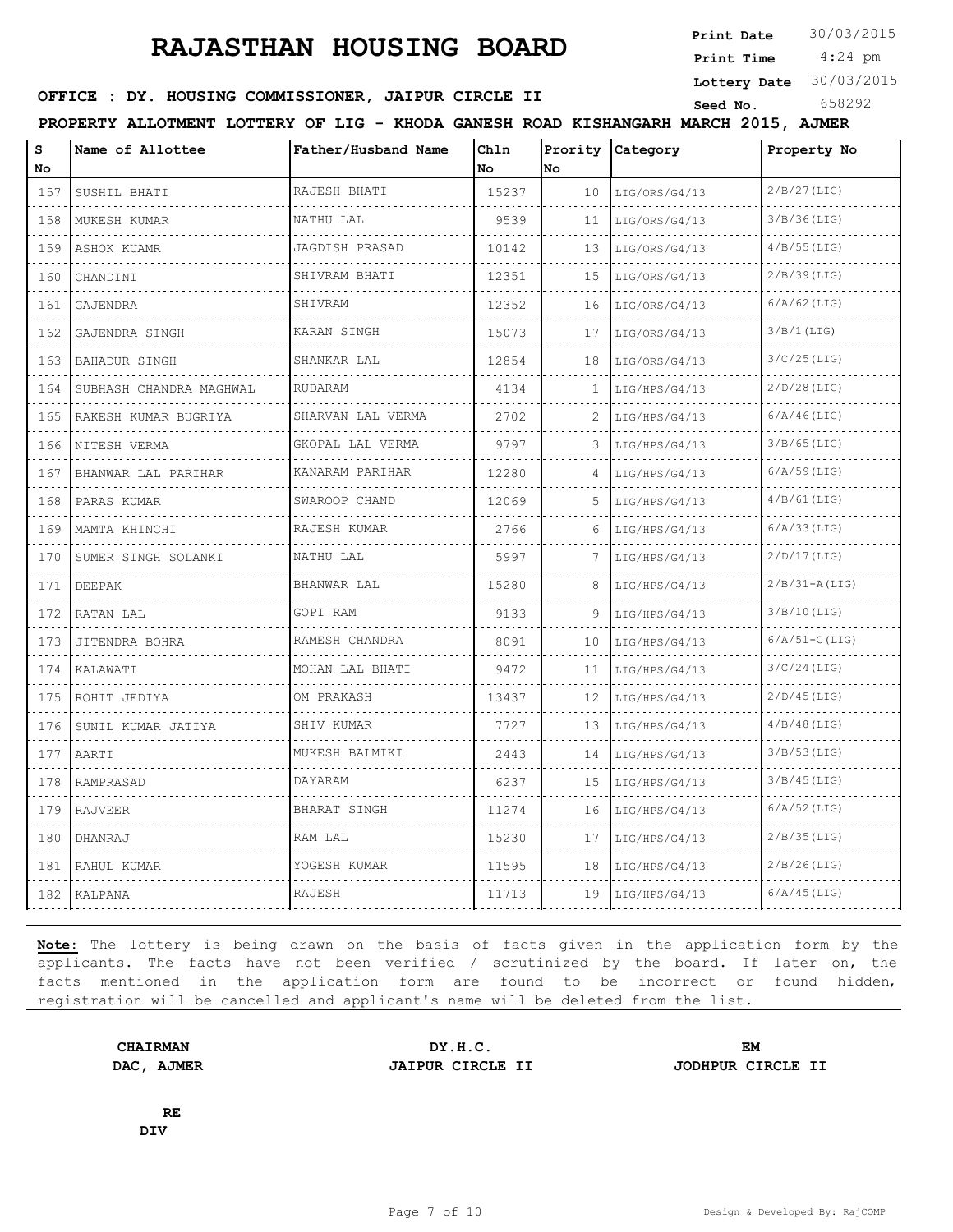**Print Date**  $30/03/2015$ 

 4:24 pm **Print Time**

**Lottery Date** 30/03/2015

## **OFFICE : DY. HOUSING COMMISSIONER, JAIPUR CIRCLE II** Seed No. 658292

**PROPERTY ALLOTMENT LOTTERY OF LIG - KHODA GANESH ROAD KISHANGARH MARCH 2015, AJMER**

| s<br>No  | Name of Allottee        | Father/Husband Name | Ch1n<br>No | No. | Prority Category | Property No     |
|----------|-------------------------|---------------------|------------|-----|------------------|-----------------|
| 157      | SUSHIL BHATI            | RAJESH BHATI        | 15237      | 10  | LIG/ORS/G4/13    | $2/B/27$ (LIG)  |
| 158      | MUKESH KUMAR            | NATHU LAL           | 9539       | 11  | LIG/ORS/G4/13    | 3/B/36(LIG)     |
| .<br>159 | ASHOK KUAMR             | JAGDISH PRASAD      | 10142      | 13  | LIG/ORS/G4/13    | $4/B/55$ (LIG)  |
| 160      | CHANDINI                | SHIVRAM BHATI       | 12351      | 15  | LIG/ORS/G4/13    | $2/B/39$ (LIG)  |
| 161      | GAJENDRA                | SHIVRAM             | 12352      | 16  | LIG/ORS/G4/13    | $6/A/62$ (LIG)  |
| 162      | GAJENDRA SINGH          | KARAN SINGH         | 15073      | 17  | LIG/ORS/G4/13    | 3/B/1(LIG)      |
| 163      | BAHADUR SINGH           | SHANKAR LAL         | 12854      | 18  | LIG/ORS/G4/13    | $3/C/25$ (LIG)  |
| 164      | SUBHASH CHANDRA MAGHWAL | RUDARAM             | 4134       | 1   | LIG/HPS/G4/13    | $2/D/28$ (LIG)  |
| .<br>165 | RAKESH KUMAR BUGRIYA    | SHARVAN LAL VERMA   | 2702       |     | LIG/HPS/G4/13    | $6/A/46$ (LIG)  |
| 166      | NITESH VERMA            | GKOPAL LAL VERMA    | 9797       | 3   | LIG/HPS/G4/13    | $3/B/65$ (LIG)  |
| 167      | BHANWAR LAL PARIHAR     | KANARAM PARIHAR     | 12280      | 4   | LIG/HPS/G4/13    | $6/A/59$ (LIG)  |
| 168      | PARAS KUMAR             | SWAROOP CHAND       | 12069      | 5   | LIG/HPS/G4/13    | $4/B/61$ (LIG)  |
| .<br>169 | .<br>MAMTA KHINCHI      | .<br>RAJESH KUMAR   | 2766       | 6   | LIG/HPS/G4/13    | $6/A/33$ (LIG)  |
| 170      | SUMER SINGH SOLANKI     | NATHU LAL           | 5997       | 7   | LIG/HPS/G4/13    | $2/D/17$ (LIG)  |
| 171      | DEEPAK                  | BHANWAR LAL         | 15280      | 8   | LIG/HPS/G4/13    | $2/B/31-A(LIG)$ |
| 172      | RATAN LAL               | GOPI RAM            | 9133       | 9   | LIG/HPS/G4/13    | 3/B/10(LIG)     |
| 173      | JITENDRA BOHRA          | RAMESH CHANDRA      | 8091       | 10  | LIG/HPS/G4/13    | $6/A/51-C(LIG)$ |
| 174      | KALAWATI                | MOHAN LAL BHATI     | 9472       | 11  | LIG/HPS/G4/13    | $3/C/24$ (LIG)  |
| .<br>175 | ROHIT JEDIYA            | OM PRAKASH          | 13437      | 12  | LIG/HPS/G4/13    | $2/D/45$ (LIG)  |
| 176      | SUNIL KUMAR JATIYA      | SHIV KUMAR          | 7727       | 13  | LIG/HPS/G4/13    | $4/B/48$ (LIG)  |
| 177      | AARTI                   | MUKESH BALMIKI      | 2443       | 14  | LIG/HPS/G4/13    | $3/B/53$ (LIG)  |
| 178      | RAMPRASAD               | DAYARAM             | 6237       | 15  | LIG/HPS/G4/13    | $3/B/45$ (LIG)  |
| .<br>179 | RAJVEER                 | BHARAT SINGH        | 11274      | 16  | LIG/HPS/G4/13    | $6/A/52$ (LIG)  |
| 180      | DHANRAJ                 | RAM LAL             | 15230      | 17  | LIG/HPS/G4/13    | $2/B/35$ (LIG)  |
| 181      | RAHUL KUMAR             | YOGESH KUMAR        | 11595      | 18  | LIG/HPS/G4/13    | $2/B/26$ (LIG)  |
| 182      | KALPANA                 | RAJESH              | 11713      | 19  | LIG/HPS/G4/13    | $6/A/45$ (LIG)  |
|          |                         |                     |            |     | .                |                 |

**Note:** The lottery is being drawn on the basis of facts given in the application form by the applicants. The facts have not been verified / scrutinized by the board. If later on, the facts mentioned in the application form are found to be incorrect or found hidden, registration will be cancelled and applicant's name will be deleted from the list.

**DAC, AJMER JAIPUR CIRCLE II JODHPUR CIRCLE II**

**CHAIRMAN DY.H.C. EM**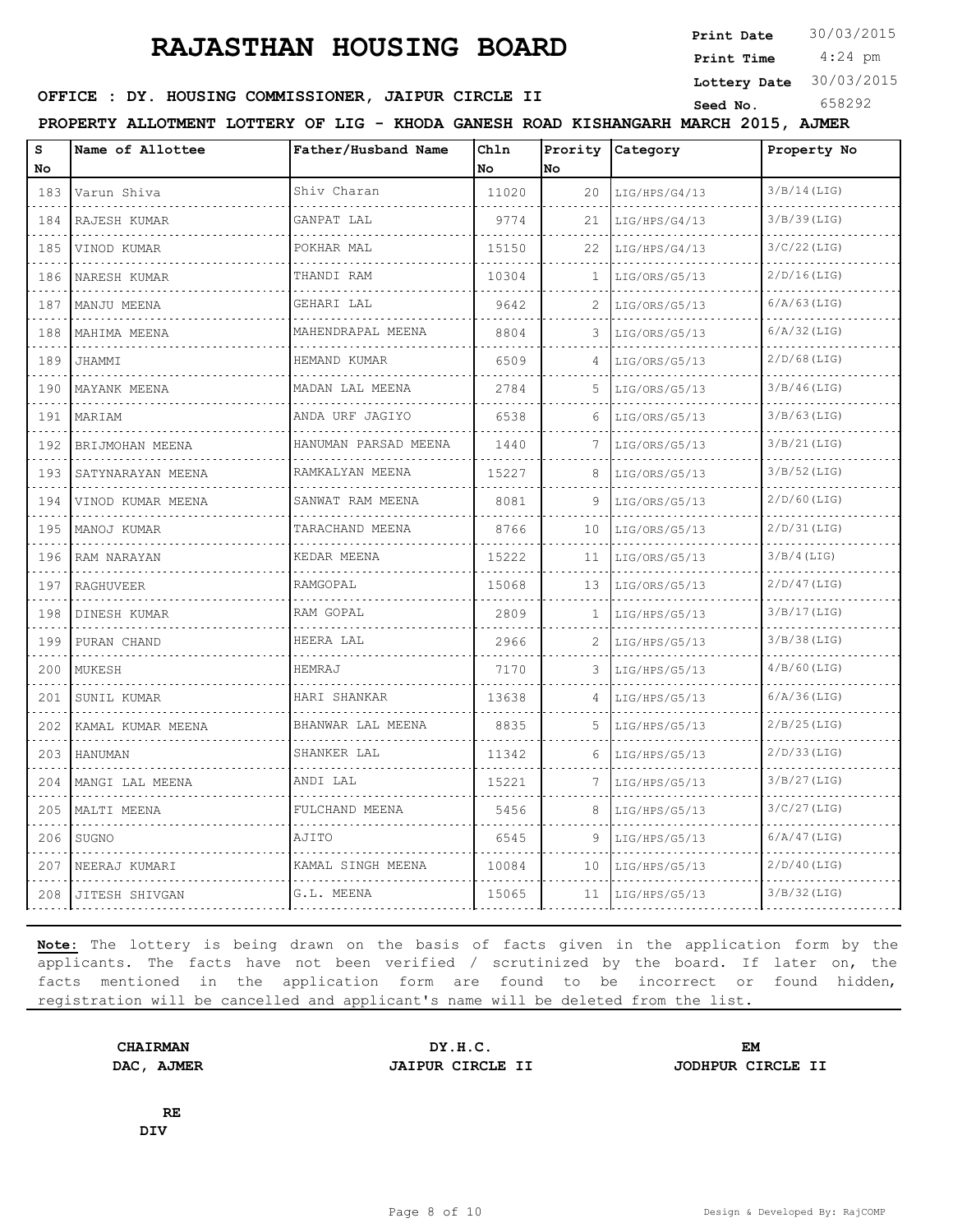**Print Date**  $30/03/2015$ 

 4:24 pm **Print Time Lottery Date** 30/03/2015

## **OFFICE : DY. HOUSING COMMISSIONER, JAIPUR CIRCLE II** Seed No. 658292

**PROPERTY ALLOTMENT LOTTERY OF LIG - KHODA GANESH ROAD KISHANGARH MARCH 2015, AJMER**

| S<br>No                                                                                                                                                              | Name of Allottee       | Father/Husband Name   | Chln<br>No | Prority<br>No | Category      | Property No    |
|----------------------------------------------------------------------------------------------------------------------------------------------------------------------|------------------------|-----------------------|------------|---------------|---------------|----------------|
| 183                                                                                                                                                                  | Varun Shiva            | Shiv Charan           | 11020      | 20            | LIG/HPS/G4/13 | $3/B/14$ (LIG) |
| 184                                                                                                                                                                  | RAJESH KUMAR           | GANPAT LAL            | 9774       | 21            | LIG/HPS/G4/13 | $3/B/39$ (LIG) |
| 185                                                                                                                                                                  | VINOD KUMAR            | POKHAR MAL            | 15150      | 22            | LIG/HPS/G4/13 | $3/C/22$ (LIG) |
| 186                                                                                                                                                                  | NARESH KUMAR           | THANDI RAM            | 10304      | 1             | LIG/ORS/G5/13 | $2/D/16$ (LIG) |
| 187                                                                                                                                                                  | MANJU MEENA            | GEHARI LAL            | 9642       | 2             | LIG/ORS/G5/13 | $6/A/63$ (LIG) |
| 188                                                                                                                                                                  | MAHIMA MEENA           | MAHENDRAPAL MEENA     | 8804       | 3             | LIG/ORS/G5/13 | $6/A/32$ (LIG) |
| 189                                                                                                                                                                  | JHAMMI                 | HEMAND KUMAR          | 6509       | 4             | LIG/ORS/G5/13 | $2/D/68$ (LIG) |
| $\mathcal{L}^{\mathcal{A}}\left( \mathcal{L}^{\mathcal{A}}\right) \mathcal{L}^{\mathcal{A}}\left( \mathcal{L}^{\mathcal{A}}\right) \mathcal{L}^{\mathcal{A}}$<br>190 | MAYANK MEENA           | .<br>MADAN LAL MEENA  | 2784       | 5             | LIG/ORS/G5/13 | $3/B/46$ (LIG) |
| 191                                                                                                                                                                  | MARIAM                 | ANDA URF JAGIYO       | 6538       | 6             | LIG/ORS/G5/13 | $3/B/63$ (LIG) |
| 192                                                                                                                                                                  | BRIJMOHAN MEENA        | HANUMAN PARSAD MEENA  | 1440       | 7             | LIG/ORS/G5/13 | $3/B/21$ (LIG) |
| and and<br>193                                                                                                                                                       | SATYNARAYAN MEENA      | RAMKALYAN MEENA       | 15227      | 8             | LIG/ORS/G5/13 | $3/B/52$ (LIG) |
| 194                                                                                                                                                                  | VINOD KUMAR MEENA<br>. | SANWAT RAM MEENA<br>. | 8081       | 9             | LIG/ORS/G5/13 | $2/D/60$ (LIG) |
| 195                                                                                                                                                                  | MANOJ KUMAR            | TARACHAND MEENA       | 8766       | 10            | LIG/ORS/G5/13 | $2/D/31$ (LIG) |
| 196                                                                                                                                                                  | RAM NARAYAN            | KEDAR MEENA           | 15222      | 11            | LIG/ORS/G5/13 | $3/B/4$ (LIG)  |
| 197                                                                                                                                                                  | <b>RAGHUVEER</b>       | RAMGOPAL              | 15068      | 13            | LIG/ORS/G5/13 | $2/D/47$ (LIG) |
| 198                                                                                                                                                                  | DINESH KUMAR           | RAM GOPAL             | 2809       | 1             | LIG/HPS/G5/13 | 3/B/17(LIG)    |
| 199                                                                                                                                                                  | PURAN CHAND            | HEERA LAL             | 2966       | 2             | LIG/HPS/G5/13 | $3/B/38$ (LIG) |
| 200                                                                                                                                                                  | MUKESH                 | HEMRAJ                | 7170       | 3             | LIG/HPS/G5/13 | $4/B/60$ (LIG) |
| 201                                                                                                                                                                  | SUNIL KUMAR            | HARI SHANKAR          | 13638      | 4             | LIG/HPS/G5/13 | $6/A/36$ (LIG) |
| 202                                                                                                                                                                  | KAMAL KUMAR MEENA      | BHANWAR LAL MEENA     | 8835       | 5             | LIG/HPS/G5/13 | $2/B/25$ (LIG) |
| 203                                                                                                                                                                  | <b>HANUMAN</b>         | SHANKER LAL           | 11342      | 6             | LIG/HPS/G5/13 | $2/D/33$ (LIG) |
| 204                                                                                                                                                                  | MANGI LAL MEENA        | ANDI LAL              | 15221      | 7             | LIG/HPS/G5/13 | $3/B/27$ (LIG) |
| 205                                                                                                                                                                  | MALTI MEENA            | FULCHAND MEENA        | 5456       | 8             | LIG/HPS/G5/13 | $3/C/27$ (LIG) |
| 206                                                                                                                                                                  | SUGNO                  | AJITO                 | 6545       | 9             | LIG/HPS/G5/13 | $6/A/47$ (LIG) |
| 207                                                                                                                                                                  | NEERAJ KUMARI          | KAMAL SINGH MEENA     | 10084      | 10            | LIG/HPS/G5/13 | $2/D/40$ (LIG) |
| 208                                                                                                                                                                  | JITESH SHIVGAN         | G.L. MEENA            | 15065      | 11            | LIG/HPS/G5/13 | $3/B/32$ (LIG) |

**Note:** The lottery is being drawn on the basis of facts given in the application form by the applicants. The facts have not been verified / scrutinized by the board. If later on, the facts mentioned in the application form are found to be incorrect or found hidden, registration will be cancelled and applicant's name will be deleted from the list.

**CHAIRMAN DY.H.C. EM DAC, AJMER JAIPUR CIRCLE II JODHPUR CIRCLE II**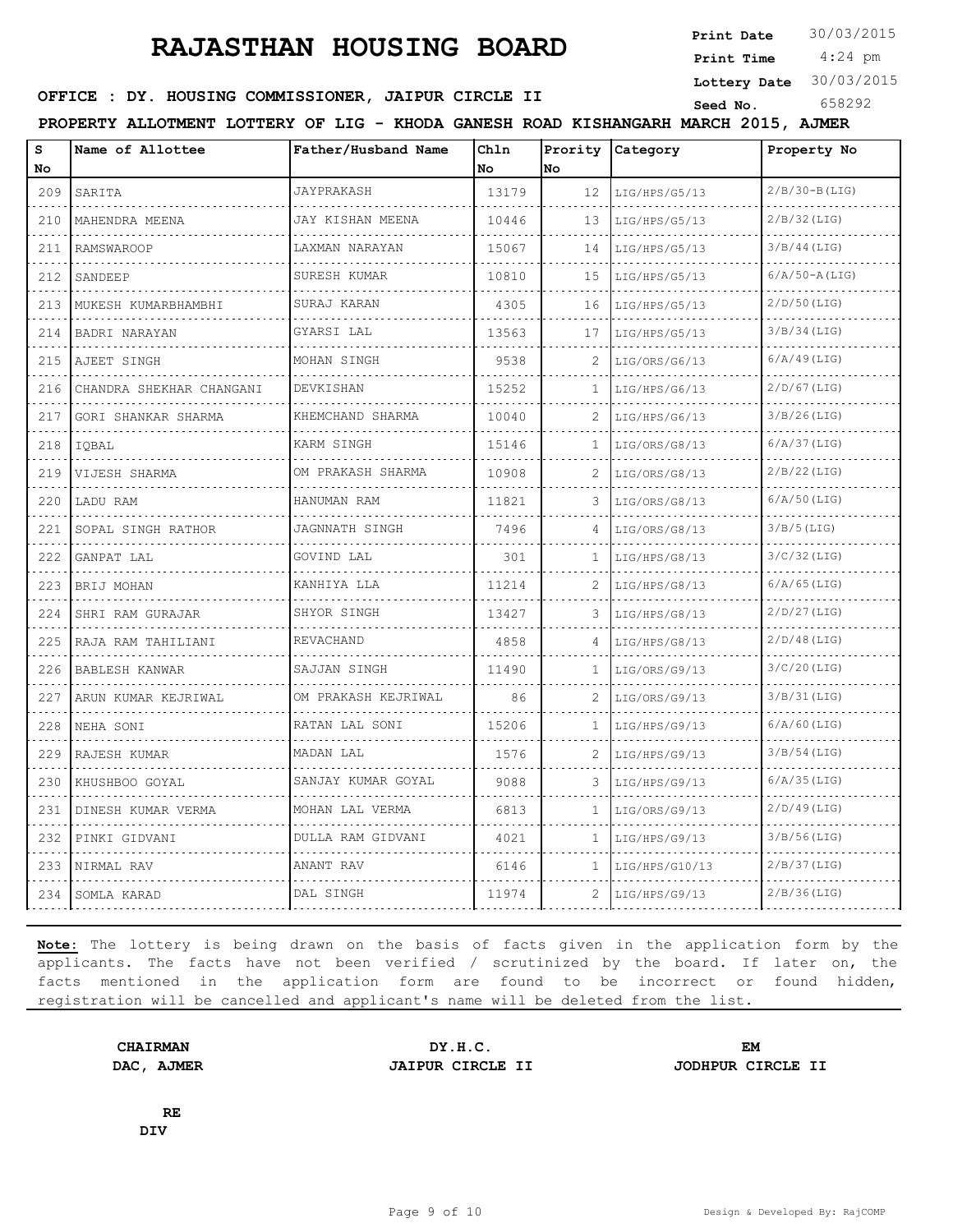**Print Date**  $30/03/2015$ 

 4:24 pm **Print Time**

**OFFICE : DY. HOUSING COMMISSIONER, JAIPUR CIRCLE II** Seed No. 658292

**Lottery Date** 30/03/2015

**PROPERTY ALLOTMENT LOTTERY OF LIG - KHODA GANESH ROAD KISHANGARH MARCH 2015, AJMER**

| S<br>No                            | Name of Allottee         | Father/Husband Name                    | Chln<br>No | Prority<br>No | Category       | Property No       |
|------------------------------------|--------------------------|----------------------------------------|------------|---------------|----------------|-------------------|
| 209                                | SARITA                   | JAYPRAKASH                             | 13179      | 12            | LIG/HPS/G5/13  | $2/B/30-B(LIG)$   |
| 210                                | MAHENDRA MEENA           | JAY KISHAN MEENA                       | 10446      | 13            | LIG/HPS/G5/13  | $2/B/32$ (LIG)    |
| 211                                | <b>RAMSWAROOP</b>        | LAXMAN NARAYAN                         | 15067      | 14            | LIG/HPS/G5/13  | $3/B/44$ (LIG)    |
| 212                                | SANDEEP                  | SURESH KUMAR                           | 10810      | 15            | LIG/HPS/G5/13  | $6/A/50 - A(LIG)$ |
| 213                                | MUKESH KUMARBHAMBHI      | SURAJ KARAN                            | 4305       | 16            | LIG/HPS/G5/13  | $2/D/50$ (LIG)    |
| 214                                | BADRI NARAYAN            | GYARSI LAL                             | 13563      | 17            | LIG/HPS/G5/13  | $3/B/34$ (LIG)    |
| 215                                | AJEET SINGH              | MOHAN SINGH                            | 9538       | 2             | LIG/ORS/G6/13  | $6/A/49$ (LIG)    |
| .<br>216                           | CHANDRA SHEKHAR CHANGANI | DEVKISHAN                              | 15252      | 1             | LIG/HPS/G6/13  | $2/D/67$ (LIG)    |
| 217                                | GORI SHANKAR SHARMA      | KHEMCHAND SHARMA                       | 10040      | 2             | LIG/HPS/G6/13  | $3/B/26$ (LIG)    |
| 218                                | IOBAL                    | KARM SINGH                             | 15146      | 1             | LIG/ORS/G8/13  | $6/A/37$ (LIG)    |
| 219                                | VIJESH SHARMA            | OM PRAKASH SHARMA                      | 10908      | 2             | LIG/ORS/G8/13  | $2/B/22$ (LIG)    |
| 220                                | LADU RAM                 | HANUMAN RAM                            | 11821      | 3             | LIG/ORS/G8/13  | $6/A/50$ (LIG)    |
| 221                                | SOPAL SINGH RATHOR       | <b>JAGNNATH SINGH</b>                  | 7496       | 4             | LIG/ORS/G8/13  | $3/B/5$ (LIG)     |
| .<br>222                           | GANPAT LAL               | GOVIND LAL                             | 301        | $\mathbf{1}$  | LIG/HPS/G8/13  | $3/C/32$ (LIG)    |
| 223                                | BRIJ MOHAN               | KANHIYA LLA                            | 11214      |               | LIG/HPS/G8/13  | $6/A/65$ (LIG)    |
| 224                                | SHRI RAM GURAJAR         | SHYOR SINGH                            | 13427      | 3             | LIG/HPS/G8/13  | $2/D/27$ (LIG)    |
| $\sim$ $\sim$ $\sim$ $\sim$<br>225 | RAJA RAM TAHILIANI       | REVACHAND                              | 4858       | 4             | LIG/HPS/G8/13  | $2/D/48$ (LIG)    |
| 226                                | BABLESH KANWAR           | SAJJAN SINGH                           | 11490      | 1             | LIG/ORS/G9/13  | $3/C/20$ (LIG)    |
| 227                                | ARUN KUMAR KEJRIWAL      | OM PRAKASH KEJRIWAL                    | 86         | 2             | LIG/ORS/G9/13  | 3/B/31(LIG)       |
| .<br>228                           | NEHA SONI                | .<br>RATAN LAL SONI                    | 15206      | $\mathbf{1}$  | LIG/HPS/G9/13  | $6/A/60$ (LIG)    |
| 229                                | RAJESH KUMAR             | MADAN LAL                              | 1576       | 2             | LIG/HPS/G9/13  | $3/B/54$ (LIG)    |
| 230                                | KHUSHBOO GOYAL           | SANJAY KUMAR GOYAL                     | 9088       | 3             | LIG/HPS/G9/13  | $6/A/35$ (LIG)    |
| 231                                | DINESH KUMAR VERMA       | .<br>MOHAN LAL VERMA                   | 6813       | 1             | LIG/ORS/G9/13  | $2/D/49$ (LIG)    |
| 232                                | PINKI GIDVANI            | د د د د د د د د د<br>DULLA RAM GIDVANI | 4021       | 1             | LIG/HPS/G9/13  | $3/B/56$ (LIG)    |
| 233                                | NIRMAL RAV               | ANANT RAV                              | 6146       | 1             | LIG/HPS/G10/13 | $2/B/37$ (LIG)    |
| 234                                | SOMLA KARAD              | DAL SINGH                              | 11974      | 2             | LIG/HPS/G9/13  | $2/B/36$ (LIG)    |

**Note:** The lottery is being drawn on the basis of facts given in the application form by the applicants. The facts have not been verified / scrutinized by the board. If later on, the facts mentioned in the application form are found to be incorrect or found hidden, registration will be cancelled and applicant's name will be deleted from the list.

**DAC, AJMER JAIPUR CIRCLE II JODHPUR CIRCLE II**

**CHAIRMAN DY.H.C. EM**